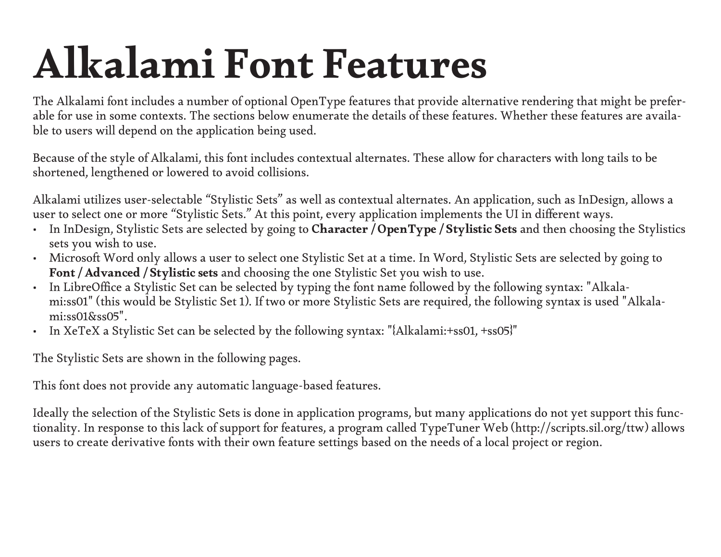# Alkalami Font Features

The Alkalami font includes a number of optional OpenType features that provide alternative rendering that might be preferable for use in some contexts. The sections below enumerate the details of these features. Whether these features are available to users will depend on the application being used.

Because of the style of Alkalami, this font includes contextual alternates. These allow for characters with long tails to be shortened, lengthened or lowered to avoid collisions.

Alkalami utilizes user-selectable "Stylistic Sets" as well as contextual alternates. An application, such as InDesign, allows a user to select one or more "Stylistic Sets." At this point, every application implements the UI in di fferent ways.

- In InDesign, Stylistic Sets are selected by going to Character / OpenType / Stylistic Sets and then choosing the Stylistics sets you wish to use.
- Microsoft Word only allows a user to select one Stylistic Set at a time. In Word, Stylistic Sets are selected by going to Font / Advanced / Stylistic sets and choosing the one Stylistic Set you wish to use.
- In LibreO ffice a Stylistic Set can be selected by typing the font name followed by the following syntax: "Alkalami:ss01" (this would be Stylistic Set 1). If two or more Stylistic Sets are required, the following syntax is used "Alkalami:ss01&ss05".
- In XeTeX a Stylistic Set can be selected by the following syntax: "{Alkalami:+ss01, +ss05}"

The Stylistic Sets are shown in the following pages.

This font does not provide any automatic language-based features.

Ideally the selection of the Stylistic Sets is done in application programs, but many applications do not yet support this functionality. In response to this lack of support for features, a program called TypeTuner Web (http://scripts.sil.org/ttw) allows users to create derivative fonts with their own feature settings based on the needs of a local project or region.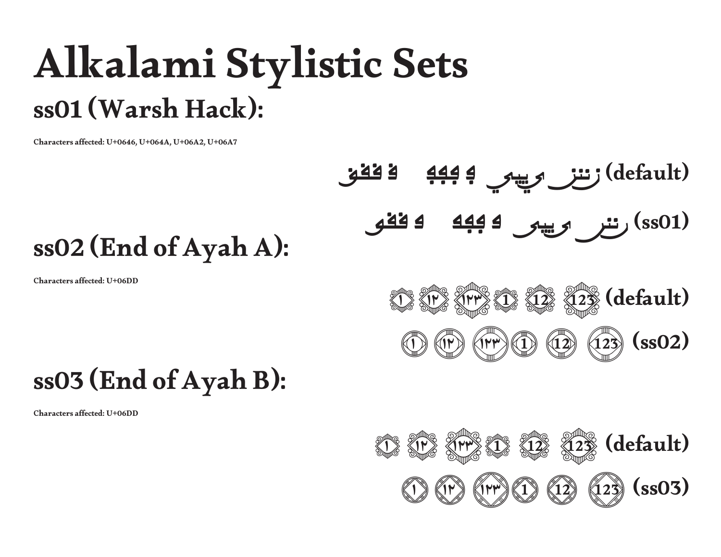## Alkalami Stylistic Sets ss01 (Warsh Hack):

Characters a ffected: U+0646, U+064A, U+06A2, U+06A7

Characters affected: U+06DD

#### ق ققق ڢڢڢ ڧ (default (<sup>ن</sup> ننن <sup>ي</sup> ييي <sup>ڢ</sup> ڧڧڧ ڢڢڢ ڧ ڢ ييي <sup>ي</sup> ننن <sup>ن</sup>) ss01) ss02 (End of Ayah A): 12 12 12  $\%$  (default)

 $(\mathbb{P} \setminus \mathbb{Q})$ 

0 (i)

#### ss0 3 (End of Ayah B):

Characters affected: U+06DD



 $(12)$ 

 $(s<sub>s</sub>02)$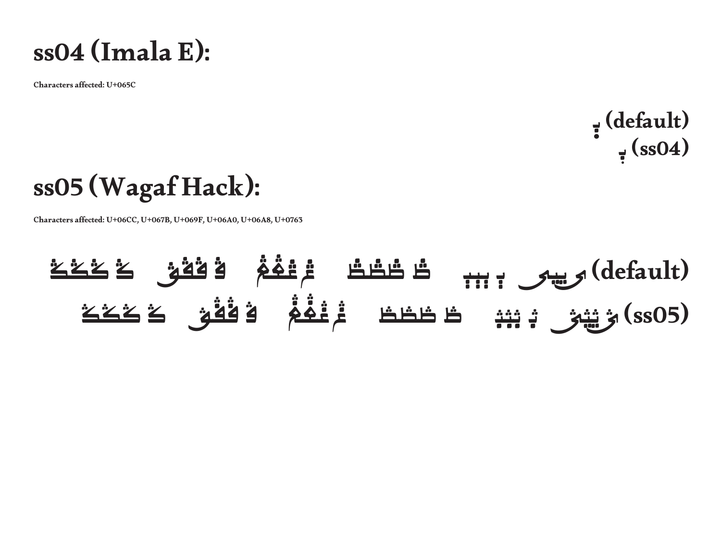

Characters affected: U+065C

ٜ (default (<sup>ب</sup>  $\frac{1}{7}$  (ss04)

#### ss05 (Wagaf Hack):

Characters affected: U+06CC, U+067B, U+069F, U+06A0, U+06A8, U+0763

### (default (<sup>ی</sup> ییی <sup>ٻ</sup> ٻٻٻ <sup>ڟ</sup> ڟڟڟ ڠ ڠڠڠ <sup>ڨ</sup> ڨڨڨ <sup>ݣ</sup> ݣݣݣ (ssO5) ﴿ يَيْمَىٰ بْـ بْنِهْ ۖ طْـْطْطْ ۚ مُّرْغُفُمْ ۖ فُـٰقُقَ كَكَكَ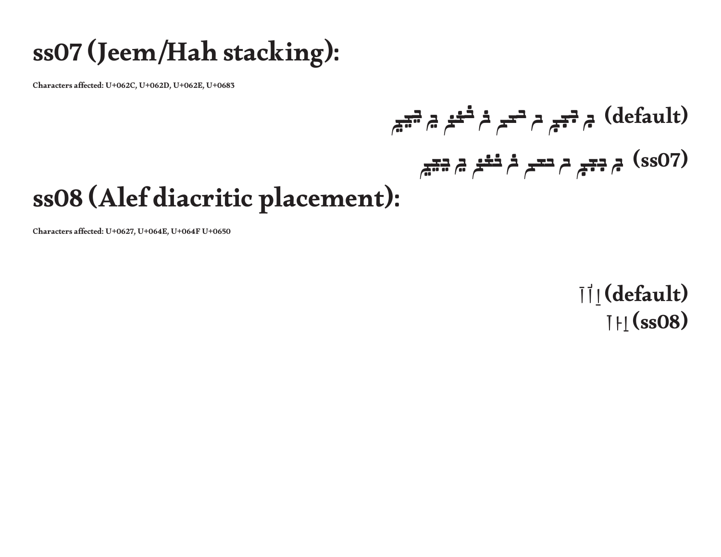#### ss07 (Jeem/Hah stacking):

Characters affected: U+062C, U+062D, U+062E, U+0683

### ڃڃڃ خخخ <sup>ڃ</sup> ححح خ ججج <sup>ح</sup> (default (<sup>ج</sup> (ssO7) ۾ <del>ڊج</del>ج ۾ ح<del>ت</del>ے ۾ <del>ڏخ</del>ر ۾ <del>ڍي</del>ے

#### ss08 (Alef diacritic placement):

Characters a ffected: U+0627, U+064E, U+064F U+0650

 $|| ||$ (default) ُا اَ (08ss (اِ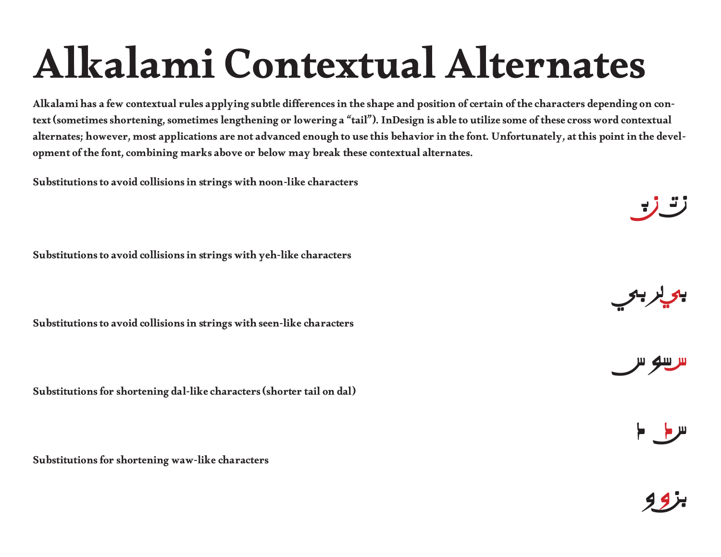# Alkalami Contextual Alternates

Alkalami has a few contextual rules applying subtle di fferences in the shape and position of certain of the characters depending on context (sometimes shortening, sometimes lengthening or lowering a "tail"). InDesign is able to utilize some of these cross word contextual alternates; however, most applications are not advanced enough to use this behavior in the font. Unfortunately, at this point in the development of the font, combining marks above or below may break these contextual alternates.

Substitutions to avoid collisions in strings with noon-like characters

Substitutions to avoid collisions in strings with yeh-like characters

Substitutions to avoid collisions in strings with seen-like characters

Substitutions for shortening dal-like characters (shorter tail on dal)

Substitutions for shortening waw-like characters



بي لر بي



س د